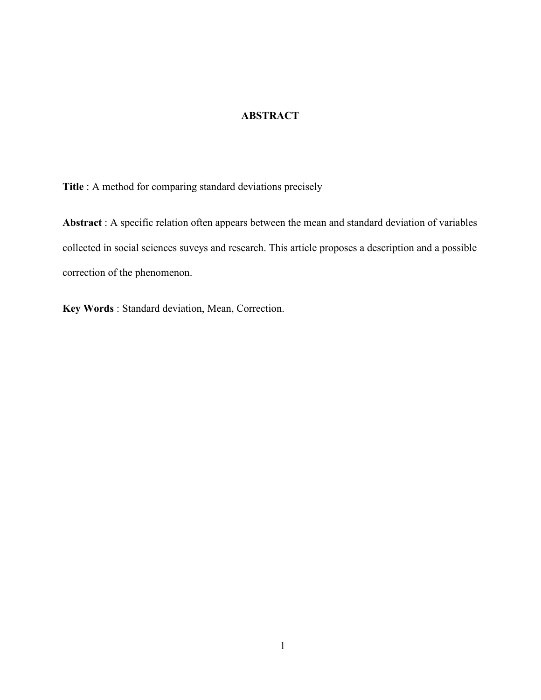# **ABSTRACT**

Title : A method for comparing standard deviations precisely

Abstract : A specific relation often appears between the mean and standard deviation of variables collected in social sciences suveys and research. This article proposes a description and a possible correction of the phenomenon.

Key Words : Standard deviation, Mean, Correction.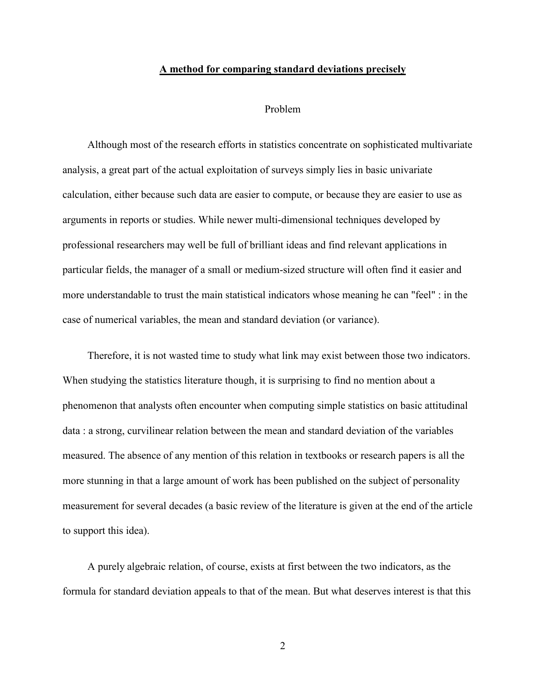#### A method for comparing standard deviations precisely

#### Problem

Although most of the research efforts in statistics concentrate on sophisticated multivariate analysis, a great part of the actual exploitation of surveys simply lies in basic univariate calculation, either because such data are easier to compute, or because they are easier to use as arguments in reports or studies. While newer multi-dimensional techniques developed by professional researchers may well be full of brilliant ideas and find relevant applications in particular fields, the manager of a small or medium-sized structure will often find it easier and more understandable to trust the main statistical indicators whose meaning he can "feel" : in the case of numerical variables, the mean and standard deviation (or variance).

Therefore, it is not wasted time to study what link may exist between those two indicators. When studying the statistics literature though, it is surprising to find no mention about a phenomenon that analysts often encounter when computing simple statistics on basic attitudinal data : a strong, curvilinear relation between the mean and standard deviation of the variables measured. The absence of any mention of this relation in textbooks or research papers is all the more stunning in that a large amount of work has been published on the subject of personality measurement for several decades (a basic review of the literature is given at the end of the article to support this idea).

A purely algebraic relation, of course, exists at first between the two indicators, as the formula for standard deviation appeals to that of the mean. But what deserves interest is that this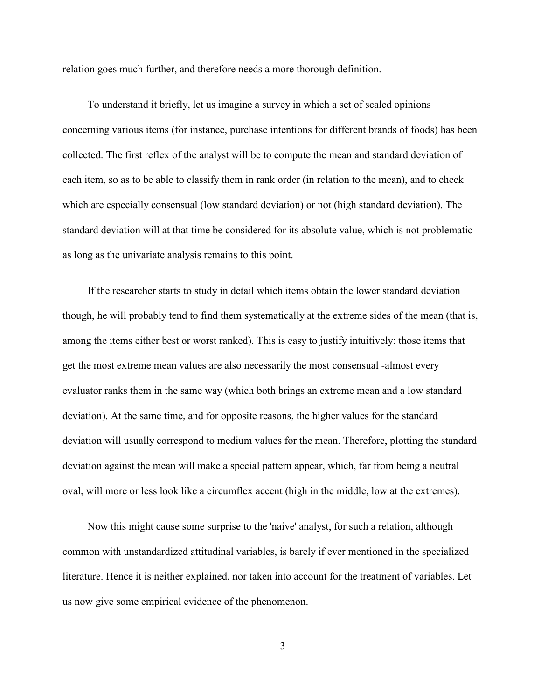relation goes much further, and therefore needs a more thorough definition.

To understand it briefly, let us imagine a survey in which a set of scaled opinions concerning various items (for instance, purchase intentions for different brands of foods) has been collected. The first reflex of the analyst will be to compute the mean and standard deviation of each item, so as to be able to classify them in rank order (in relation to the mean), and to check which are especially consensual (low standard deviation) or not (high standard deviation). The standard deviation will at that time be considered for its absolute value, which is not problematic as long as the univariate analysis remains to this point.

If the researcher starts to study in detail which items obtain the lower standard deviation though, he will probably tend to find them systematically at the extreme sides of the mean (that is, among the items either best or worst ranked). This is easy to justify intuitively: those items that get the most extreme mean values are also necessarily the most consensual -almost every evaluator ranks them in the same way (which both brings an extreme mean and a low standard deviation). At the same time, and for opposite reasons, the higher values for the standard deviation will usually correspond to medium values for the mean. Therefore, plotting the standard deviation against the mean will make a special pattern appear, which, far from being a neutral oval, will more or less look like a circumflex accent (high in the middle, low at the extremes).

Now this might cause some surprise to the 'naive' analyst, for such a relation, although common with unstandardized attitudinal variables, is barely if ever mentioned in the specialized literature. Hence it is neither explained, nor taken into account for the treatment of variables. Let us now give some empirical evidence of the phenomenon.

3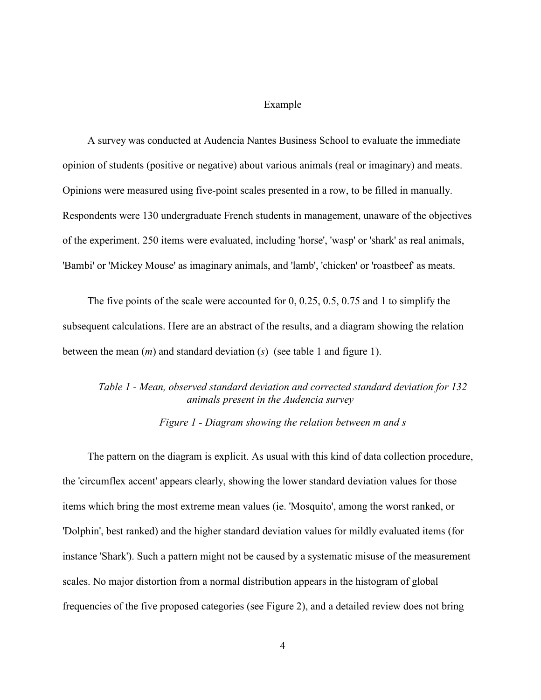#### Example

A survey was conducted at Audencia Nantes Business School to evaluate the immediate opinion of students (positive or negative) about various animals (real or imaginary) and meats. Opinions were measured using five-point scales presented in a row, to be filled in manually. Respondents were 130 undergraduate French students in management, unaware of the objectives of the experiment. 250 items were evaluated, including 'horse', 'wasp' or 'shark' as real animals, 'Bambi' or 'Mickey Mouse' as imaginary animals, and 'lamb', 'chicken' or 'roastbeef' as meats.

The five points of the scale were accounted for 0, 0.25, 0.5, 0.75 and 1 to simplify the subsequent calculations. Here are an abstract of the results, and a diagram showing the relation between the mean  $(m)$  and standard deviation  $(s)$  (see table 1 and figure 1).

# Table 1 - Mean, observed standard deviation and corrected standard deviation for 132 animals present in the Audencia survey

Figure 1 - Diagram showing the relation between m and s

The pattern on the diagram is explicit. As usual with this kind of data collection procedure, the 'circumflex accent' appears clearly, showing the lower standard deviation values for those items which bring the most extreme mean values (ie. 'Mosquito', among the worst ranked, or 'Dolphin', best ranked) and the higher standard deviation values for mildly evaluated items (for instance 'Shark'). Such a pattern might not be caused by a systematic misuse of the measurement scales. No major distortion from a normal distribution appears in the histogram of global frequencies of the five proposed categories (see Figure 2), and a detailed review does not bring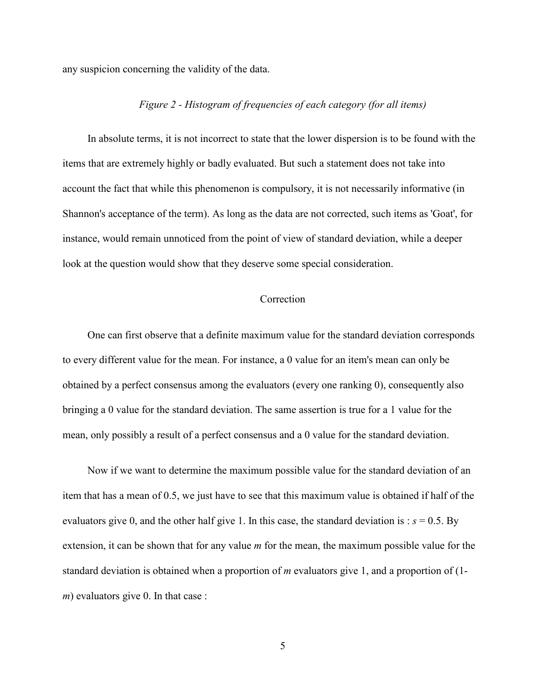any suspicion concerning the validity of the data.

## Figure 2 - Histogram of frequencies of each category (for all items)

In absolute terms, it is not incorrect to state that the lower dispersion is to be found with the items that are extremely highly or badly evaluated. But such a statement does not take into account the fact that while this phenomenon is compulsory, it is not necessarily informative (in Shannon's acceptance of the term). As long as the data are not corrected, such items as 'Goat', for instance, would remain unnoticed from the point of view of standard deviation, while a deeper look at the question would show that they deserve some special consideration.

## **Correction**

One can first observe that a definite maximum value for the standard deviation corresponds to every different value for the mean. For instance, a 0 value for an item's mean can only be obtained by a perfect consensus among the evaluators (every one ranking 0), consequently also bringing a 0 value for the standard deviation. The same assertion is true for a 1 value for the mean, only possibly a result of a perfect consensus and a 0 value for the standard deviation.

Now if we want to determine the maximum possible value for the standard deviation of an item that has a mean of 0.5, we just have to see that this maximum value is obtained if half of the evaluators give 0, and the other half give 1. In this case, the standard deviation is :  $s = 0.5$ . By extension, it can be shown that for any value  $m$  for the mean, the maximum possible value for the standard deviation is obtained when a proportion of  $m$  evaluators give 1, and a proportion of  $(1$  $m$ ) evaluators give 0. In that case :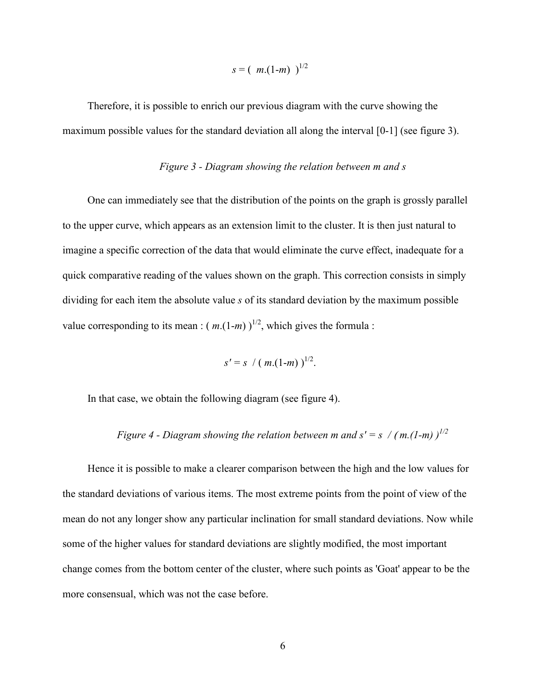$$
s = (m.(1-m))^{1/2}
$$

Therefore, it is possible to enrich our previous diagram with the curve showing the maximum possible values for the standard deviation all along the interval [0-1] (see figure 3).

# Figure 3 - Diagram showing the relation between m and s

One can immediately see that the distribution of the points on the graph is grossly parallel to the upper curve, which appears as an extension limit to the cluster. It is then just natural to imagine a specific correction of the data that would eliminate the curve effect, inadequate for a quick comparative reading of the values shown on the graph. This correction consists in simply dividing for each item the absolute value s of its standard deviation by the maximum possible value corresponding to its mean :  $(m.(1-m))^{1/2}$ , which gives the formula :

$$
s' = s / (m.(1-m))^{1/2}.
$$

In that case, we obtain the following diagram (see figure 4).

Figure 4 - Diagram showing the relation between m and  $s' = s / (m(1-m))^{1/2}$ 

Hence it is possible to make a clearer comparison between the high and the low values for the standard deviations of various items. The most extreme points from the point of view of the mean do not any longer show any particular inclination for small standard deviations. Now while some of the higher values for standard deviations are slightly modified, the most important change comes from the bottom center of the cluster, where such points as 'Goat' appear to be the more consensual, which was not the case before.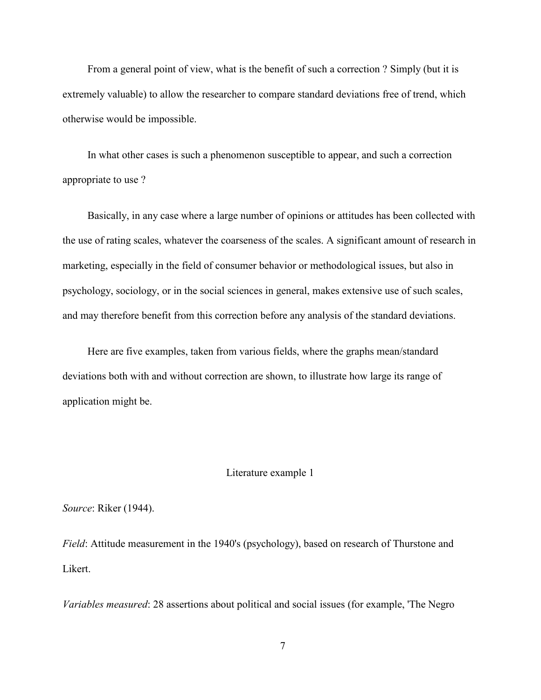From a general point of view, what is the benefit of such a correction ? Simply (but it is extremely valuable) to allow the researcher to compare standard deviations free of trend, which otherwise would be impossible.

In what other cases is such a phenomenon susceptible to appear, and such a correction appropriate to use ?

Basically, in any case where a large number of opinions or attitudes has been collected with the use of rating scales, whatever the coarseness of the scales. A significant amount of research in marketing, especially in the field of consumer behavior or methodological issues, but also in psychology, sociology, or in the social sciences in general, makes extensive use of such scales, and may therefore benefit from this correction before any analysis of the standard deviations.

Here are five examples, taken from various fields, where the graphs mean/standard deviations both with and without correction are shown, to illustrate how large its range of application might be.

#### Literature example 1

Source: Riker (1944).

Field: Attitude measurement in the 1940's (psychology), based on research of Thurstone and Likert.

Variables measured: 28 assertions about political and social issues (for example, 'The Negro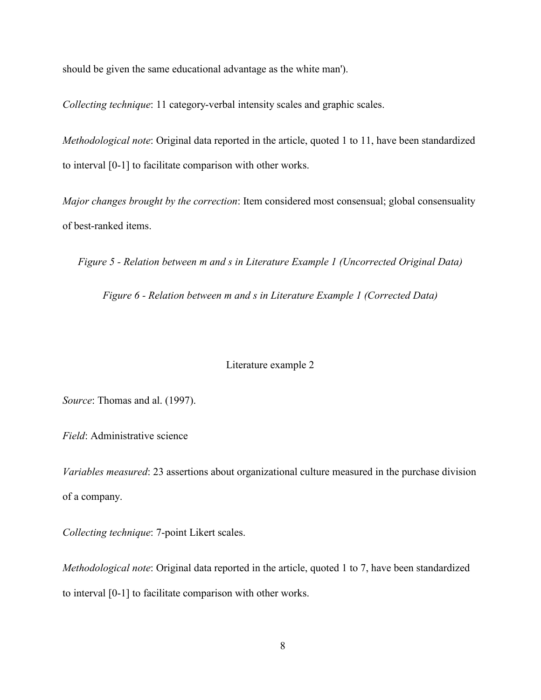should be given the same educational advantage as the white man').

Collecting technique: 11 category-verbal intensity scales and graphic scales.

Methodological note: Original data reported in the article, quoted 1 to 11, have been standardized to interval [0-1] to facilitate comparison with other works.

Major changes brought by the correction: Item considered most consensual; global consensuality of best-ranked items.

Figure 5 - Relation between m and s in Literature Example 1 (Uncorrected Original Data)

Figure 6 - Relation between m and s in Literature Example 1 (Corrected Data)

# Literature example 2

Source: Thomas and al. (1997).

Field: Administrative science

Variables measured: 23 assertions about organizational culture measured in the purchase division of a company.

Collecting technique: 7-point Likert scales.

Methodological note: Original data reported in the article, quoted 1 to 7, have been standardized to interval [0-1] to facilitate comparison with other works.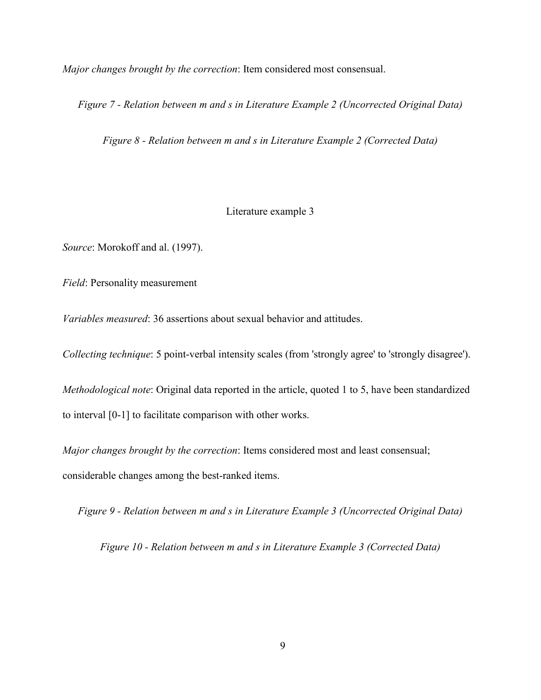Major changes brought by the correction: Item considered most consensual.

Figure 7 - Relation between m and s in Literature Example 2 (Uncorrected Original Data)

Figure 8 - Relation between m and s in Literature Example 2 (Corrected Data)

### Literature example 3

Source: Morokoff and al. (1997).

Field: Personality measurement

Variables measured: 36 assertions about sexual behavior and attitudes.

Collecting technique: 5 point-verbal intensity scales (from 'strongly agree' to 'strongly disagree').

Methodological note: Original data reported in the article, quoted 1 to 5, have been standardized to interval [0-1] to facilitate comparison with other works.

Major changes brought by the correction: Items considered most and least consensual; considerable changes among the best-ranked items.

Figure 9 - Relation between m and s in Literature Example 3 (Uncorrected Original Data)

Figure 10 - Relation between m and s in Literature Example 3 (Corrected Data)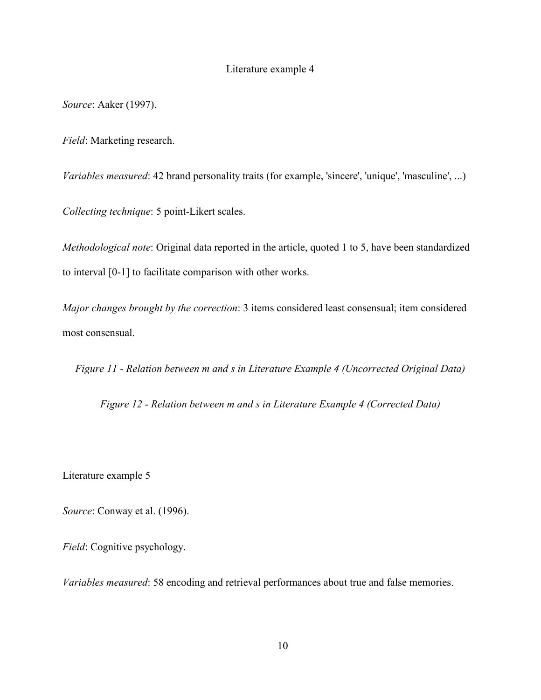# Literature example 4

Source: Aaker (1997).

Field: Marketing research.

Variables measured: 42 brand personality traits (for example, 'sincere', 'unique', 'masculine', ...)

Collecting technique: 5 point-Likert scales.

Methodological note: Original data reported in the article, quoted 1 to 5, have been standardized to interval [0-1] to facilitate comparison with other works.

Major changes brought by the correction: 3 items considered least consensual; item considered most consensual.

Figure 11 - Relation between m and s in Literature Example 4 (Uncorrected Original Data)

Figure 12 - Relation between m and s in Literature Example 4 (Corrected Data)

Literature example 5

Source: Conway et al. (1996).

Field: Cognitive psychology.

Variables measured: 58 encoding and retrieval performances about true and false memories.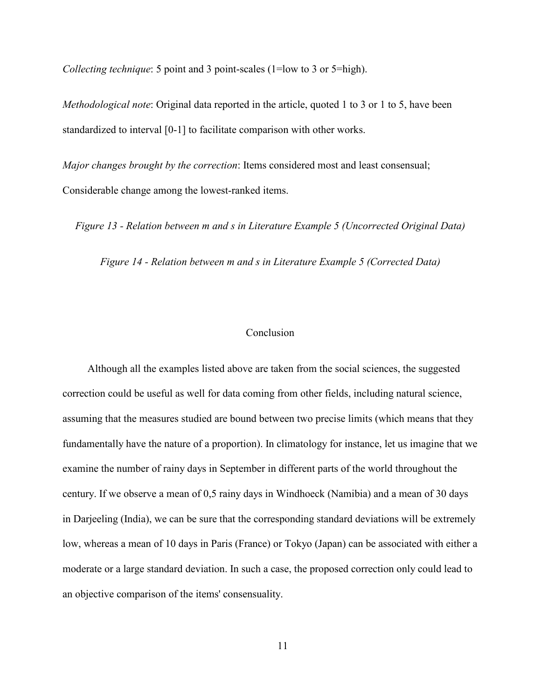Collecting technique: 5 point and 3 point-scales (1=low to 3 or 5=high).

Methodological note: Original data reported in the article, quoted 1 to 3 or 1 to 5, have been standardized to interval [0-1] to facilitate comparison with other works.

Major changes brought by the correction: Items considered most and least consensual; Considerable change among the lowest-ranked items.

Figure 13 - Relation between m and s in Literature Example 5 (Uncorrected Original Data)

Figure 14 - Relation between m and s in Literature Example 5 (Corrected Data)

## Conclusion

Although all the examples listed above are taken from the social sciences, the suggested correction could be useful as well for data coming from other fields, including natural science, assuming that the measures studied are bound between two precise limits (which means that they fundamentally have the nature of a proportion). In climatology for instance, let us imagine that we examine the number of rainy days in September in different parts of the world throughout the century. If we observe a mean of 0,5 rainy days in Windhoeck (Namibia) and a mean of 30 days in Darjeeling (India), we can be sure that the corresponding standard deviations will be extremely low, whereas a mean of 10 days in Paris (France) or Tokyo (Japan) can be associated with either a moderate or a large standard deviation. In such a case, the proposed correction only could lead to an objective comparison of the items' consensuality.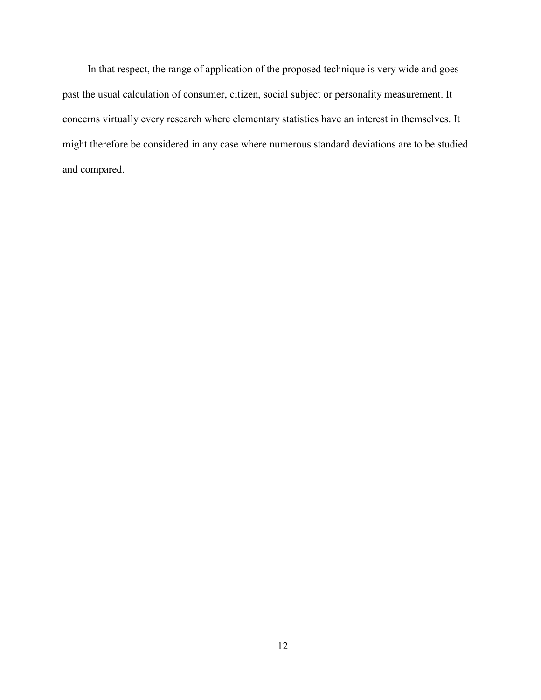In that respect, the range of application of the proposed technique is very wide and goes past the usual calculation of consumer, citizen, social subject or personality measurement. It concerns virtually every research where elementary statistics have an interest in themselves. It might therefore be considered in any case where numerous standard deviations are to be studied and compared.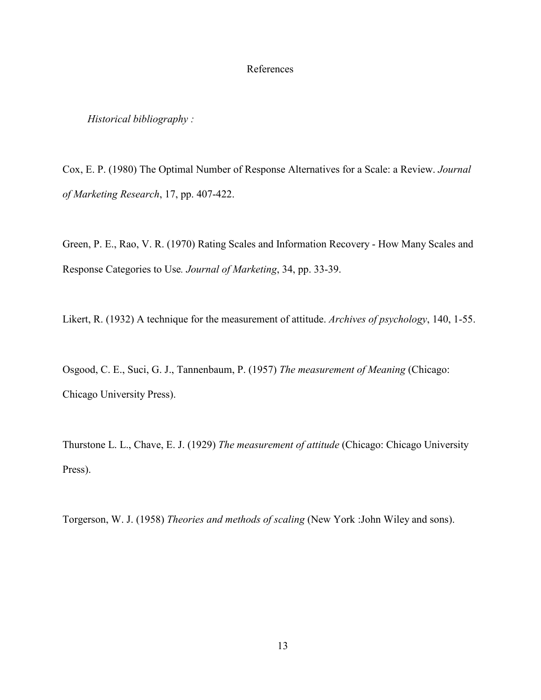## References

## Historical bibliography :

Cox, E. P. (1980) The Optimal Number of Response Alternatives for a Scale: a Review. Journal of Marketing Research, 17, pp. 407-422.

Green, P. E., Rao, V. R. (1970) Rating Scales and Information Recovery - How Many Scales and Response Categories to Use. Journal of Marketing, 34, pp. 33-39.

Likert, R. (1932) A technique for the measurement of attitude. Archives of psychology, 140, 1-55.

Osgood, C. E., Suci, G. J., Tannenbaum, P. (1957) The measurement of Meaning (Chicago: Chicago University Press).

Thurstone L. L., Chave, E. J. (1929) The measurement of attitude (Chicago: Chicago University Press).

Torgerson, W. J. (1958) Theories and methods of scaling (New York :John Wiley and sons).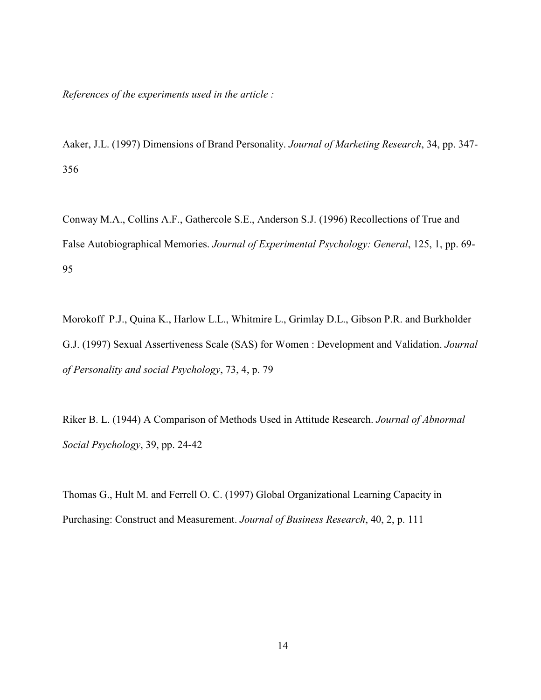References of the experiments used in the article :

Aaker, J.L. (1997) Dimensions of Brand Personality. Journal of Marketing Research, 34, pp. 347- 356

Conway M.A., Collins A.F., Gathercole S.E., Anderson S.J. (1996) Recollections of True and False Autobiographical Memories. Journal of Experimental Psychology: General, 125, 1, pp. 69- 95

Morokoff P.J., Quina K., Harlow L.L., Whitmire L., Grimlay D.L., Gibson P.R. and Burkholder G.J. (1997) Sexual Assertiveness Scale (SAS) for Women : Development and Validation. Journal of Personality and social Psychology, 73, 4, p. 79

Riker B. L. (1944) A Comparison of Methods Used in Attitude Research. Journal of Abnormal Social Psychology, 39, pp. 24-42

Thomas G., Hult M. and Ferrell O. C. (1997) Global Organizational Learning Capacity in Purchasing: Construct and Measurement. Journal of Business Research, 40, 2, p. 111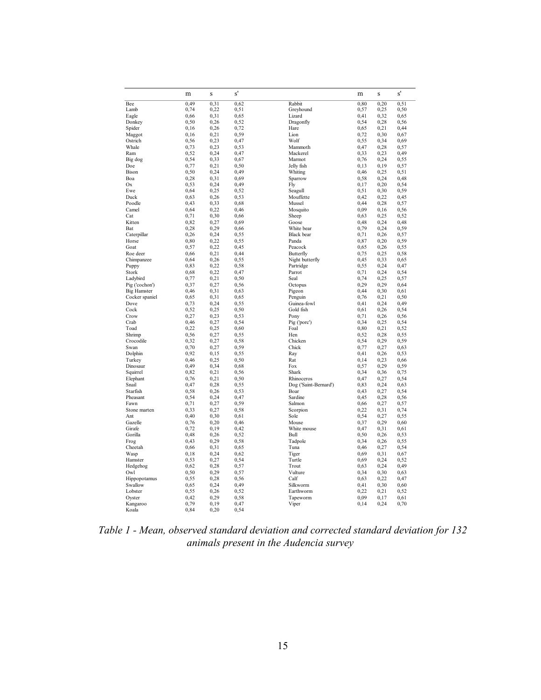|                    | m    | S     | s'   |                       | m    | S     | s'   |
|--------------------|------|-------|------|-----------------------|------|-------|------|
| Bee                | 0.49 | 0,31  | 0,62 | Rabbit                | 0,80 | 0,20  | 0,51 |
| Lamb               | 0,74 | 0,22  | 0,51 | Greyhound             | 0,57 | 0,25  | 0,50 |
| Eagle              | 0,66 | 0,31  | 0,65 | Lizard                | 0,41 | 0,32  | 0,65 |
| Donkey             | 0,50 | 0,26  | 0,52 | Dragonfly             | 0,54 | 0,28  | 0,56 |
| Spider             | 0.16 | 0,26  | 0,72 | Hare                  | 0.65 | 0,21  | 0,44 |
| Maggot             | 0.16 | 0,21  | 0,59 | Lion                  | 0,72 | 0,30  | 0,67 |
| Ostrich            | 0,56 | 0,23  | 0,47 | Wolf                  | 0,55 | 0,34  | 0,69 |
| Whale              | 0.73 | 0,23  | 0.53 | Mammoth               | 0,47 | 0,28  | 0,57 |
| Ram                | 0,52 | 0,24  | 0,47 | Mackerel              | 0,33 | 0,23  | 0,49 |
| Big dog            | 0,54 | 0,33  | 0,67 | Marmot                | 0,76 | 0,24  | 0,55 |
| Doe                | 0,77 | 0,21  | 0,50 | Jelly fish            | 0,13 | 0,19  | 0,57 |
| <b>Bison</b>       | 0,50 | 0,24  | 0,49 | Whiting               | 0,46 | 0,25  | 0,51 |
| Boa                | 0.28 | 0,31  | 0,69 | Sparrow               | 0,58 | 0,24  | 0,48 |
| Ox                 | 0,53 | 0.24  | 0.49 | Flv                   | 0,17 | 0,20  | 0,54 |
| Ewe                | 0,64 | 0,25  | 0,52 | Seagull               | 0,51 | 0,30  | 0,59 |
| Duck               | 0,63 | 0,26  | 0,53 | Mouffette             | 0,42 | 0,22  | 0,45 |
| Poodle             | 0.43 | 0.33  | 0,68 | Mussel                | 0.44 | 0,28  | 0,57 |
| Camel              | 0,64 | 0,22  | 0,46 | Mosquito              | 0,09 | 0, 16 | 0,56 |
| Cat                | 0,71 | 0,30  | 0,66 | Sheep                 | 0.63 | 0,25  | 0,52 |
| Kitten             | 0.82 | 0.27  | 0.69 | Goose                 | 0,48 | 0,24  | 0,48 |
| Bat                | 0.28 | 0,29  | 0,66 | White bear            | 0,79 | 0,24  | 0,59 |
| Caterpillar        | 0.26 | 0.24  | 0.55 | <b>Black</b> bear     | 0,71 | 0,26  | 0.57 |
| Horse              | 0,80 | 0,22  | 0,55 | Panda                 | 0,87 | 0,20  | 0,59 |
| Goat               | 0,57 | 0,22  | 0,45 | Peacock               | 0,65 | 0,26  | 0,55 |
| Roe deer           | 0.66 | 0,21  | 0,44 | Butterfly             | 0.75 | 0,25  | 0,58 |
| Chimpanzee         | 0,64 | 0,26  | 0,55 | Night butterfly       | 0,45 | 0,33  | 0,65 |
|                    | 0,83 | 0,22  | 0,58 |                       | 0.55 | 0,24  | 0,47 |
| Puppy<br>Stork     | 0,68 | 0,22  | 0,47 | Partridge<br>Parrot   |      | 0,24  |      |
|                    |      |       |      |                       | 0,71 |       | 0,54 |
| Ladybird           | 0,77 | 0,21  | 0,50 | Seal                  | 0,74 | 0,25  | 0,57 |
| Pig ('cochon')     | 0,37 | 0,27  | 0,56 | Octopus               | 0,29 | 0,29  | 0,64 |
| <b>Big Hamster</b> | 0,46 | 0,31  | 0,63 | Pigeon                | 0,44 | 0,30  | 0,61 |
| Cocker spaniel     | 0,65 | 0,31  | 0,65 | Penguin               | 0,76 | 0,21  | 0,50 |
| Dove               | 0,73 | 0,24  | 0,55 | Guinea-fowl           | 0,41 | 0,24  | 0,49 |
| Cock               | 0,52 | 0,25  | 0,50 | Gold fish             | 0,61 | 0,26  | 0,54 |
| Crow               | 0,27 | 0,23  | 0,53 | Pony                  | 0,71 | 0,26  | 0,56 |
| Crab               | 0,46 | 0,27  | 0,54 | Pig ('porc')          | 0,34 | 0,25  | 0,54 |
| Toad               | 0,22 | 0,25  | 0,60 | Foal                  | 0,80 | 0,21  | 0,52 |
| Shrimp             | 0,56 | 0,27  | 0,55 | Hen                   | 0,52 | 0,28  | 0,55 |
| Crocodile          | 0,32 | 0,27  | 0,58 | Chicken               | 0,54 | 0,29  | 0,59 |
| Swan               | 0,70 | 0,27  | 0,59 | Chick                 | 0,77 | 0,27  | 0,63 |
| Dolphin            | 0,92 | 0, 15 | 0,55 | Ray                   | 0,41 | 0,26  | 0,53 |
| Turkey             | 0,46 | 0,25  | 0,50 | Rat                   | 0,14 | 0,23  | 0,66 |
| Dinosaur           | 0.49 | 0.34  | 0.68 | Fox                   | 0,57 | 0.29  | 0.59 |
| Squirrel           | 0,82 | 0,21  | 0,56 | Shark                 | 0,34 | 0,36  | 0,75 |
| Elephant           | 0,76 | 0,21  | 0,50 | Rhinoceros            | 0,47 | 0,27  | 0,54 |
| Snail              | 0,47 | 0.28  | 0,55 | Dog ('Saint-Bernard') | 0,83 | 0,24  | 0,63 |
| Starfish           | 0,58 | 0,26  | 0,53 | Boar                  | 0,43 | 0,27  | 0,54 |
| Pheasant           | 0,54 | 0,24  | 0,47 | Sardine               | 0,45 | 0,28  | 0,56 |
| Fawn               | 0,71 | 0,27  | 0,59 | Salmon                | 0,66 | 0,27  | 0,57 |
| Stone marten       | 0,33 | 0,27  | 0,58 | Scorpion              | 0,22 | 0,31  | 0,74 |
| Ant                | 0,40 | 0,30  | 0.61 | Sole                  | 0,54 | 0,27  | 0,55 |
| Gazelle            | 0,76 | 0,20  | 0,46 | Mouse                 | 0,37 | 0,29  | 0,60 |
| Girafe             | 0,72 | 0,19  | 0,42 | White mouse           | 0,47 | 0,31  | 0,61 |
| Gorilla            | 0,48 | 0,26  | 0,52 | Bull                  | 0,50 | 0,26  | 0,53 |
| Frog               | 0,43 | 0,29  | 0,58 | Tadpole               | 0,34 | 0,26  | 0,55 |
| Cheetah            | 0,66 | 0,31  | 0,65 | Tuna                  | 0,46 | 0,27  | 0,54 |
| Wasp               | 0.18 | 0,24  | 0,62 | Tiger                 | 0.69 | 0,31  | 0,67 |
| Hamster            | 0,53 | 0,27  | 0,54 | Turtle                | 0,69 | 0,24  | 0,52 |
| Hedgehog           | 0,62 | 0,28  | 0,57 | Trout                 | 0,63 | 0,24  | 0,49 |
| Owl                | 0,50 | 0,29  | 0,57 | Vulture               | 0,34 | 0,30  | 0,63 |
| Hippopotamus       | 0,55 | 0,28  | 0,56 | Calf                  | 0.63 | 0,22  | 0,47 |
| Swallow            | 0,65 | 0,24  | 0,49 | Silkworm              | 0,41 | 0,30  | 0,60 |
| Lobster            | 0.55 | 0,26  | 0,52 | Earthworm             | 0,22 | 0,21  | 0,52 |
|                    |      |       |      |                       |      |       |      |
| Oyster             | 0,42 | 0,29  | 0,58 | Tapeworm              | 0,09 | 0,17  | 0,61 |
| Kangaroo           | 0,79 | 0,19  | 0,47 | Viper                 | 0,14 | 0,24  | 0,70 |
| Koala              | 0,84 | 0,20  | 0,54 |                       |      |       |      |

Table 1 - Mean, observed standard deviation and corrected standard deviation for 132 animals present in the Audencia survey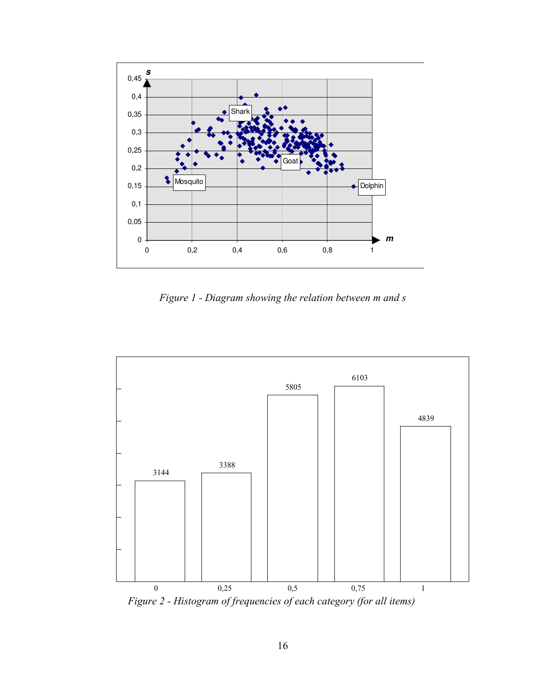

Figure 1 - Diagram showing the relation between m and s



Figure 2 - Histogram of frequencies of each category (for all items)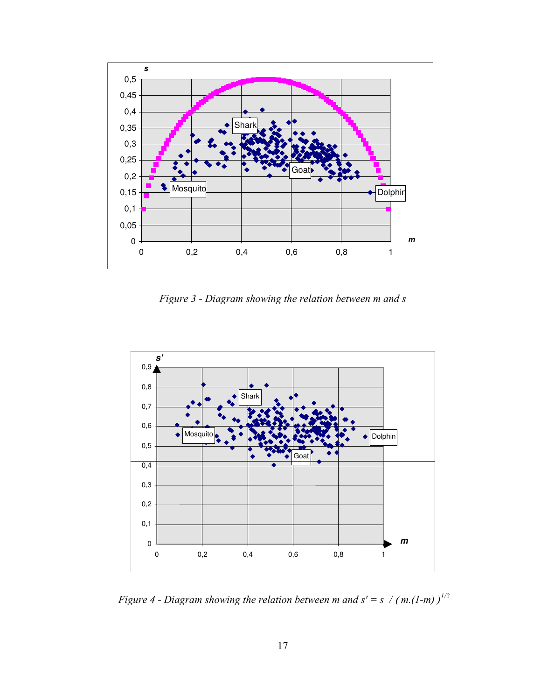

Figure 3 - Diagram showing the relation between m and s



Figure 4 - Diagram showing the relation between m and  $s' = s / (m.(1-m))^{1/2}$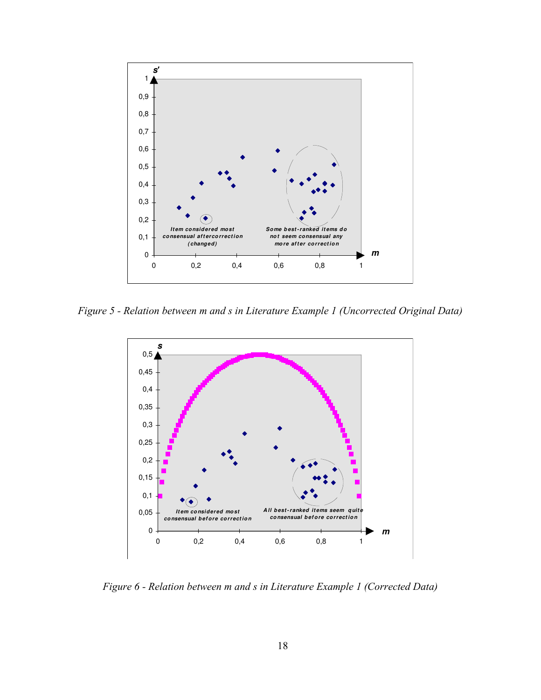

Figure 5 - Relation between m and s in Literature Example 1 (Uncorrected Original Data)



Figure 6 - Relation between m and s in Literature Example 1 (Corrected Data)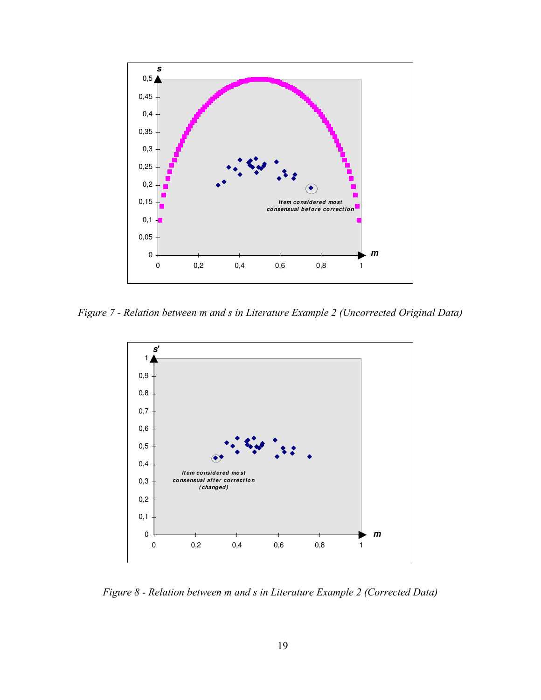

Figure 7 - Relation between m and s in Literature Example 2 (Uncorrected Original Data)



Figure 8 - Relation between m and s in Literature Example 2 (Corrected Data)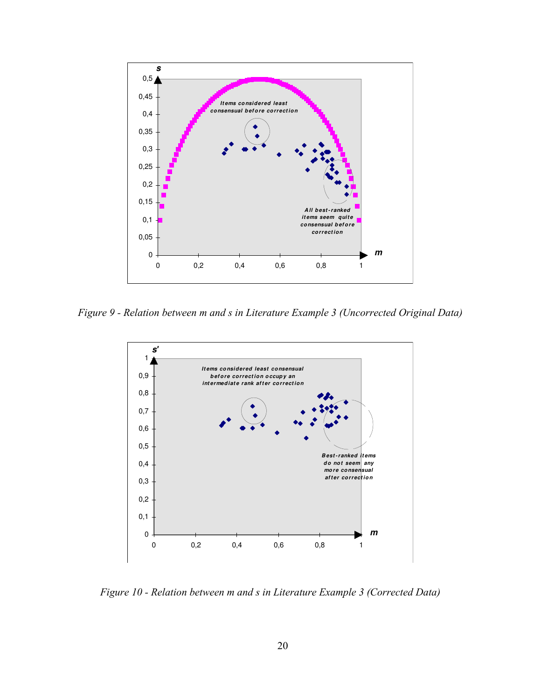

Figure 9 - Relation between m and s in Literature Example 3 (Uncorrected Original Data)



Figure 10 - Relation between m and s in Literature Example 3 (Corrected Data)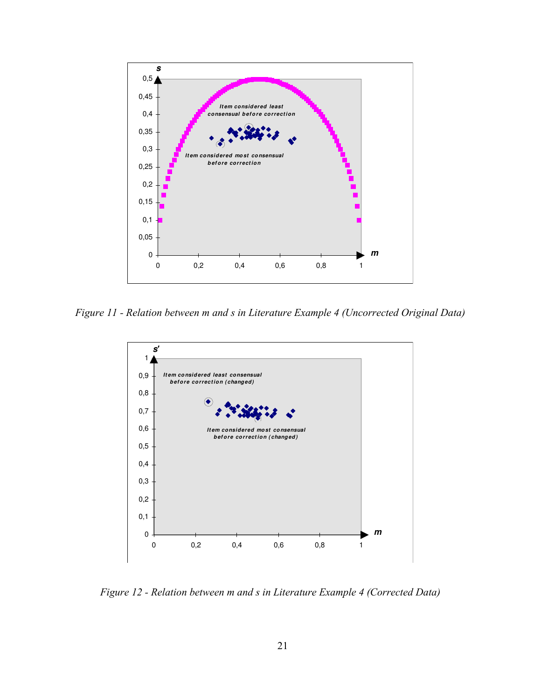

Figure 11 - Relation between m and s in Literature Example 4 (Uncorrected Original Data)



Figure 12 - Relation between m and s in Literature Example 4 (Corrected Data)